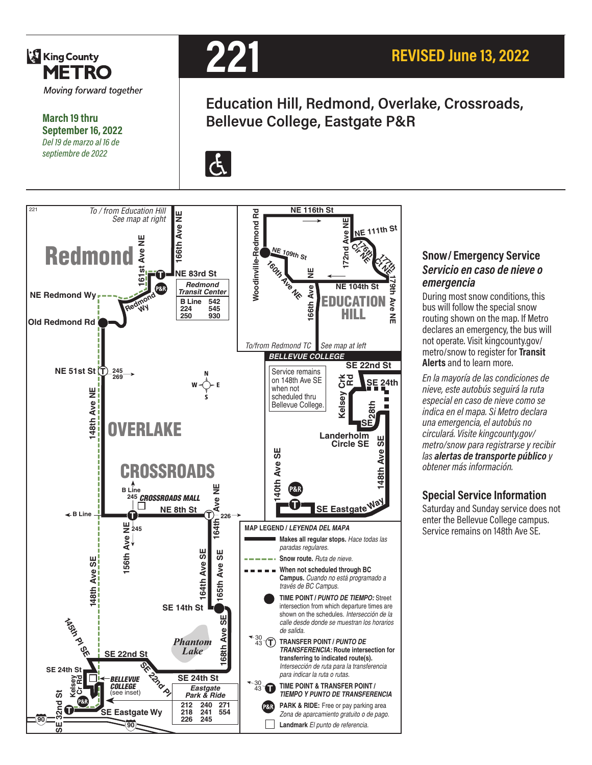

**March 19 thru September 16, 2022** *Del 19 de marzo al 16 de septiembre de 2022*



**Education Hill, Redmond, Overlake, Crossroads, Bellevue College, Eastgate P&R**

 $|\mathbf{f}|$ 



#### **Snow/ Emergency Service**  *Servicio en caso de nieve o emergencia*

During most snow conditions, this bus will follow the special snow routing shown on the map. If Metro declares an emergency, the bus will not operate. Visit kingcounty.gov/ metro/snow to register for **Transit Alerts** and to learn more.

*En la mayoría de las condiciones de nieve, este autobús seguirá la ruta especial en caso de nieve como se indica en el mapa. Si Metro declara una emergencia, el autobús no circulará. Visite kingcounty.gov/ metro/snow para registrarse y recibir las alertas de transporte público y obtener más información.*

Saturday and Sunday service does not enter the Bellevue College campus. Service remains on 148th Ave SE.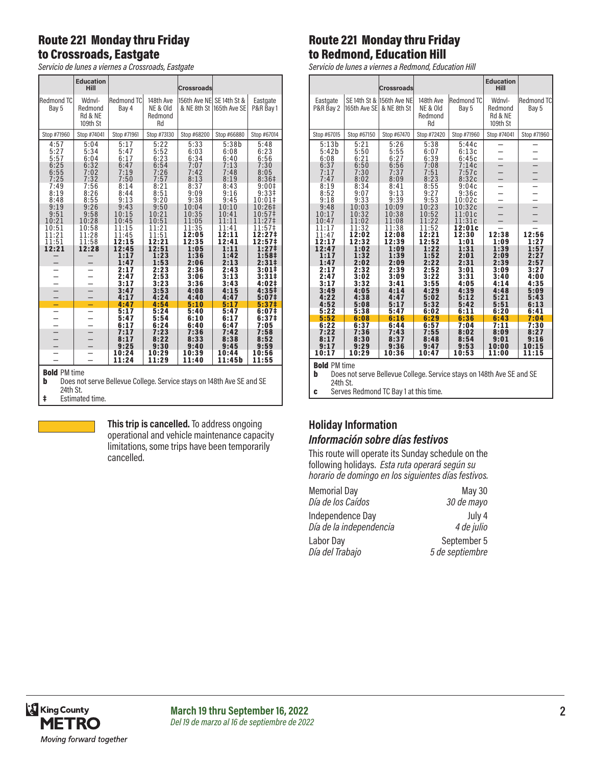### Route 221 Monday thru Friday to Crossroads, Eastgate

*Servicio de lunes a viernes a Crossroads, Eastgate*

|                                                                                                                    | <b>Education</b><br><b>Hill</b>          |                              |                                        | <b>Crossroads</b>            |                               |                                                |
|--------------------------------------------------------------------------------------------------------------------|------------------------------------------|------------------------------|----------------------------------------|------------------------------|-------------------------------|------------------------------------------------|
| Redmond TC<br>Bay 5                                                                                                | Wdnvl-<br>Redmond<br>Rd & NE<br>109th St | Redmond TC<br>Bay 4          | 148th Ave<br>NE & Old<br>Redmond<br>Rd | 156th Ave NE SE 14th St &    | & NE 8th St 165th Ave SE      | Eastgate<br>P&R Bay 1                          |
| Stop #71960                                                                                                        | Stop #74041                              | Stop #71961                  | Stop #73130                            | Stop #68200                  | Stop #66880                   | Stop #67014                                    |
| 4:57<br>5:27<br>5:57<br>6:25                                                                                       | 5:04<br>5:34<br>6:04<br>6:32             | 5:17<br>5:47<br>6:17<br>6:47 | 5:22<br>5:52<br>6:23<br>6:54           | 5:33<br>6:03<br>6:34<br>7:07 | 5:38b<br>6:08<br>6:40<br>7:13 | 5:48<br>6:23<br>6:56<br>7:30                   |
| 6:55<br>7:25                                                                                                       | 7:02<br>7:32                             | 7:19<br>7:50                 | 7:26<br>7:57                           | 7:42<br>8:13                 | 7:48<br>8:19                  | 8:05<br>8:36 <sup>‡</sup>                      |
| 7:49<br>8:19<br>8:48                                                                                               | 7:56<br>8:26<br>8:55                     | 8:14<br>8:44<br>9:13         | 8:21<br>8:51<br>9:20                   | 8:37<br>9:09<br>9:38         | 8:43<br>9:16<br>9:45          | 9:00‡<br>9:33 <sup>‡</sup><br>10:01‡           |
| 9:19<br>9:51<br>10:21                                                                                              | 9:26<br>9:58<br>10:28                    | 9:43<br>10:15<br>10:45       | 9:50<br>10:21<br>10:51                 | 10:04<br>10:35<br>11:05      | 10:10<br>10:41<br>11:11       | 10:26‡<br>10:57‡<br>11:27‡                     |
| 10:51<br>11:21<br>11:51                                                                                            | 10:58<br>11:28<br>11:58                  | 11:15<br>11:45<br>12:15      | 11:21<br>11:51<br>12:21                | 11:35<br>12:05<br>12:35      | 11:41<br>12:11<br>12:41       | 11:57‡<br>12:27‡<br>12:57‡                     |
| 12:21                                                                                                              | 12:28                                    | 12:45<br>1:17<br>1:47        | 12:51<br>1:23<br>1:53                  | 1:05<br>1:36<br>2:06         | 1:11<br>1:42<br>2:13          | 1:27‡<br>1:58‡<br>$2:31 \pm$                   |
|                                                                                                                    |                                          | 2:17<br>2:47<br>3:17         | 2:23<br>2:53<br>3:23                   | 2:36<br>3:06<br>3:36         | 2:43<br>3:13<br>3:43          | 3:01#<br>3:31#<br>4:02‡                        |
| $\overline{\phantom{0}}$                                                                                           | └                                        | 3:47<br>4:17                 | 3:53<br>4:24                           | 4:08<br>4:40                 | 4:15<br>4:47                  | 4:35 <sup>‡</sup><br>5:07‡                     |
| -                                                                                                                  | -                                        | 4:47                         | 4:54                                   | 5:10                         | 5:17                          | $5:37$ ‡                                       |
| $\overline{\phantom{0}}$<br>$\overline{\phantom{0}}$                                                               | $\overline{\phantom{0}}$                 | 5:17<br>5:47<br>6:17         | 5:24<br>5:54<br>6:24                   | 5:40<br>6:10<br>6:40         | 5:47<br>6:17<br>6:47          | 6:07 <sup>‡</sup><br>6:37 <sup>‡</sup><br>7:05 |
| $-$                                                                                                                |                                          | 7:17<br>8:17                 | 7:23<br>8:22                           | 7:36<br>8:33                 | 7:42<br>8:38                  | 7:58<br>8:52                                   |
| -                                                                                                                  |                                          | 9:25                         | 9:30                                   | 9:40                         | 9:45                          | 9:59                                           |
|                                                                                                                    |                                          | 10:24<br>11:24               | 10:29<br>11:29                         | 10:39<br>11:40               | 10:44<br>11:45b               | 10:56<br>11:55                                 |
| <b>Bold PM time</b><br>b<br>Does not serve Bellevue College. Service stays on 148th Ave SE and SE<br>$04 + h$ $0+$ |                                          |                              |                                        |                              |                               |                                                |

24th St.

‡ Estimated time.

**This trip is cancelled.** To address ongoing operational and vehicle maintenance capacity limitations, some trips have been temporarily cancelled.

# Route 221 Monday thru Friday to Redmond, Education Hill

*Servicio de lunes a viernes a Redmond, Education Hill*

|                                                                                                                                       |                              | <b>Crossroads</b>                        |                                        |                                  | <b>Education</b><br>Hill                 |                            |
|---------------------------------------------------------------------------------------------------------------------------------------|------------------------------|------------------------------------------|----------------------------------------|----------------------------------|------------------------------------------|----------------------------|
| Eastgate<br>P&R Bay 2                                                                                                                 | 165th Ave SE                 | SE 14th St & 156th Ave NE<br>& NE 8th St | 148th Ave<br>NE & Old<br>Redmond<br>Rd | <b>Redmond TC</b><br>Bay 5       | Wdnyl-<br>Redmond<br>Rd & NE<br>109th St | <b>Redmond TC</b><br>Bay 5 |
| Stop #67015                                                                                                                           | Stop #67150                  | Stop #67470                              | Stop #72420                            | Stop #71960                      | Stop #74041                              | Stop #71960                |
| 5:13b<br>5:42b<br>6:08<br>6:37                                                                                                        | 5:21<br>5:50<br>6:21<br>6:50 | 5:26<br>5:55<br>6:27<br>6:56             | 5:38<br>6:07<br>6:39<br>7:08           | 5:44c<br>6:13c<br>6:45c<br>7:14c |                                          |                            |
| 7:17<br>7:47                                                                                                                          | 7:30<br>8:02                 | 7:37<br>8:09                             | 7:51<br>8:23                           | 7:57c<br>8:32c                   |                                          |                            |
| 8:19<br>8:52<br>9:18                                                                                                                  | 8:34<br>9:07<br>9:33         | 8:41<br>9:13<br>9:39                     | 8:55<br>9:27<br>9:53                   | 9:04c<br>9:36c<br>10:02c         |                                          |                            |
| 9:48<br>10:17<br>10:47                                                                                                                | 10:03<br>10:32<br>11:02      | 10:09<br>10:38<br>11:08                  | 10:23<br>10:52<br>11:22                | 10:32c<br>11:01c<br>11:31c       |                                          | $\equiv$                   |
| 11:17<br>11:47<br>12:17                                                                                                               | 11:32<br>12:02<br>12:32      | 11:38<br>12:08<br>12:39                  | 11:52<br>12:21<br>12:52                | 12:01c<br>12:30<br>1:01          | 12:38<br>1:09                            | 12:56<br>1:27              |
| 12:47<br>1:17<br>1:47                                                                                                                 | 1:02<br>1:32<br>2:02         | 1:09<br>1:39<br>2:09                     | 1:22<br>1:52<br>2:22                   | 1:31<br>2:01<br>2:31             | 1:39<br>2:09<br>2:39                     | 1:57<br>2:27<br>2:57       |
| 2:17<br>2:47<br>3:17                                                                                                                  | 2:32<br>3:02<br>3:32         | 2:39<br>3:09<br>3:41                     | 2:52<br>3:22<br>3:55                   | 3:01<br>3:31<br>4:05             | 3:09<br>3:40<br>4:14                     | 3:27<br>4:00<br>4:35       |
| 3:49<br>4:22<br>4:52                                                                                                                  | 4:05<br>4:38<br>5:08         | 4:14<br>4:47<br>5:17                     | 4:29<br>5:02<br>5:32                   | 4:39<br>5:12<br>5:42             | 4:48<br>5:21<br>5:51                     | 5:09<br>5:43<br>6:13       |
| 5:22<br>5:52                                                                                                                          | 5:38<br>6:08                 | 5:47<br>6:16                             | 6:02<br>6:29                           | 6:11<br>6:36                     | 6:20<br>6:43                             | 6:41<br>7:04               |
| 6:22                                                                                                                                  | 6:37                         | 6:44                                     | 6:57                                   | 7:04                             | 7:11                                     | 7:30                       |
| 7:22<br>8:17                                                                                                                          | 7:36<br>8:30                 | 7:43<br>8:37                             | 7:55<br>8:48                           | 8:02<br>8:54                     | 8:09<br>9:01                             | 8:27<br>9:16               |
| 9:17                                                                                                                                  | 9:29                         | 9:36                                     | 9:47                                   | 9:53                             | 10:00                                    | 10:15                      |
| 10:17                                                                                                                                 | 10:29                        | 10:36                                    | 10:47                                  | 10:53                            | 11:00                                    | 11:15                      |
| <b>Bold PM time</b><br>$-11$<br>$\mathbf{0}$ and $\mathbf{0}$<br>$1401L, A$ $\Omega$<br>$\overline{1}$ or<br>D<br>$D - H$ .<br>$\sim$ |                              |                                          |                                        |                                  |                                          |                            |

**b** Does not serve Bellevue College. Service stays on 148th Ave SE and SE 24th St.

c Serves Redmond TC Bay 1 at this time.

#### **Holiday Information** *Información sobre días festivos*

This route will operate its Sunday schedule on the following holidays. *Esta ruta operará según su horario de domingo en los siguientes días festivos.*

| <b>Memorial Day</b>     | May 30          |
|-------------------------|-----------------|
| Día de los Caídos       | 30 de mayo      |
| Independence Day        | July 4          |
| Día de la independencia | 4 de julio      |
| Labor Day               | September 5     |
| Día del Trabajo         | 5 de septiembre |